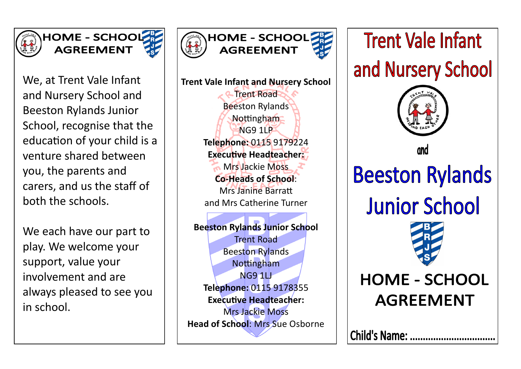



We, at Trent Vale Infant and Nursery School and Beeston Rylands Junior School, recognise that the education of your child is a venture shared between you, the parents and carers, and us the staff of both the schools.

We each have our part to play. We welcome your support, value your involvement and are always pleased to see you in school.



**Trent Vale Infant and Nursery School** Trent Road Beeston Rylands Nottingham NG9 1LP **Telephone:** 0115 9179224 **Executive Headteacher:**  Mrs Jackie Moss **Co-Heads of School**: Mrs Janine Barratt and Mrs Catherine Turner **Beeston Rylands Junior School** Trent Road Beeston Rylands Nottingham NG9 1LJ **Telephone:** 0115 9178355 **Executive Headteacher:**  Mrs Jackie Moss

**Head of School**: Mrs Sue Osborne

**Trent Vale Infant** and Nursery School



**Beeston Rylands Junior School** 



# **HOME - SCHOOL AGREEMENT**

Child's Name: ..................................